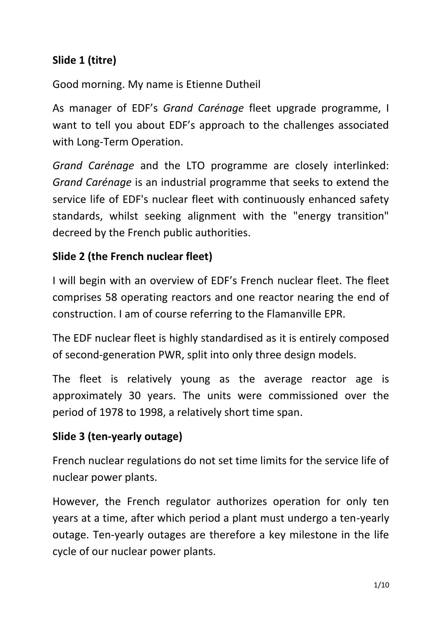### **Slide 1 (titre)**

Good morning. My name is Etienne Dutheil

As manager of EDF's *Grand Carénage* fleet upgrade programme, I want to tell you about EDF's approach to the challenges associated with Long-Term Operation.

*Grand Carénage* and the LTO programme are closely interlinked: *Grand Carénage* is an industrial programme that seeks to extend the service life of EDF's nuclear fleet with continuously enhanced safety standards, whilst seeking alignment with the "energy transition" decreed by the French public authorities.

#### **Slide 2 (the French nuclear fleet)**

I will begin with an overview of EDF's French nuclear fleet. The fleet comprises 58 operating reactors and one reactor nearing the end of construction. I am of course referring to the Flamanville EPR.

The EDF nuclear fleet is highly standardised as it is entirely composed of second-generation PWR, split into only three design models.

The fleet is relatively young as the average reactor age is approximately 30 years. The units were commissioned over the period of 1978 to 1998, a relatively short time span.

#### **Slide 3 (ten-yearly outage)**

French nuclear regulations do not set time limits for the service life of nuclear power plants.

However, the French regulator authorizes operation for only ten years at a time, after which period a plant must undergo a ten-yearly outage. Ten-yearly outages are therefore a key milestone in the life cycle of our nuclear power plants.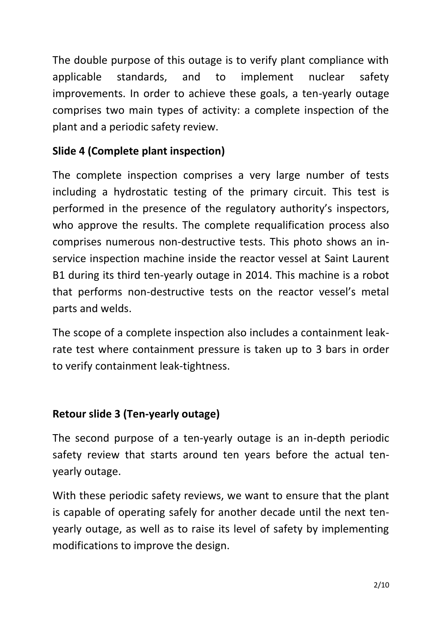The double purpose of this outage is to verify plant compliance with applicable standards, and to implement nuclear safety improvements. In order to achieve these goals, a ten-yearly outage comprises two main types of activity: a complete inspection of the plant and a periodic safety review.

## **Slide 4 (Complete plant inspection)**

The complete inspection comprises a very large number of tests including a hydrostatic testing of the primary circuit. This test is performed in the presence of the regulatory authority's inspectors, who approve the results. The complete requalification process also comprises numerous non-destructive tests. This photo shows an inservice inspection machine inside the reactor vessel at Saint Laurent B1 during its third ten-yearly outage in 2014. This machine is a robot that performs non-destructive tests on the reactor vessel's metal parts and welds.

The scope of a complete inspection also includes a containment leakrate test where containment pressure is taken up to 3 bars in order to verify containment leak-tightness.

### **Retour slide 3 (Ten-yearly outage)**

The second purpose of a ten-yearly outage is an in-depth periodic safety review that starts around ten years before the actual tenyearly outage.

With these periodic safety reviews, we want to ensure that the plant is capable of operating safely for another decade until the next tenyearly outage, as well as to raise its level of safety by implementing modifications to improve the design.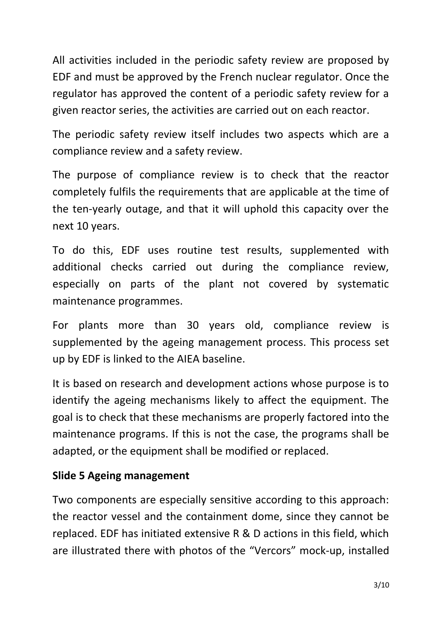All activities included in the periodic safety review are proposed by EDF and must be approved by the French nuclear regulator. Once the regulator has approved the content of a periodic safety review for a given reactor series, the activities are carried out on each reactor.

The periodic safety review itself includes two aspects which are a compliance review and a safety review.

The purpose of compliance review is to check that the reactor completely fulfils the requirements that are applicable at the time of the ten-yearly outage, and that it will uphold this capacity over the next 10 years.

To do this, EDF uses routine test results, supplemented with additional checks carried out during the compliance review, especially on parts of the plant not covered by systematic maintenance programmes.

For plants more than 30 years old, compliance review is supplemented by the ageing management process. This process set up by EDF is linked to the AIEA baseline.

It is based on research and development actions whose purpose is to identify the ageing mechanisms likely to affect the equipment. The goal is to check that these mechanisms are properly factored into the maintenance programs. If this is not the case, the programs shall be adapted, or the equipment shall be modified or replaced.

#### **Slide 5 Ageing management**

Two components are especially sensitive according to this approach: the reactor vessel and the containment dome, since they cannot be replaced. EDF has initiated extensive R & D actions in this field, which are illustrated there with photos of the "Vercors" mock-up, installed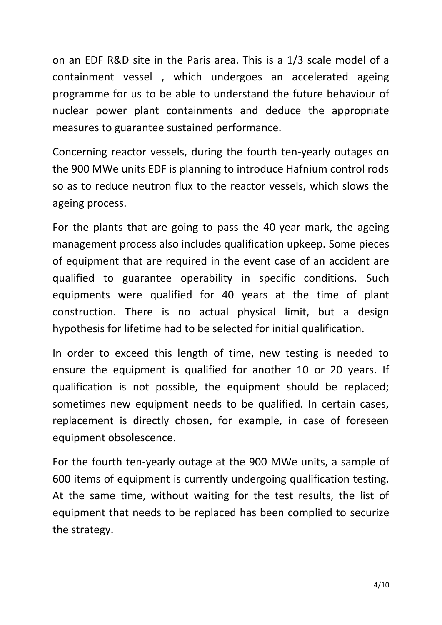on an EDF R&D site in the Paris area. This is a 1/3 scale model of a containment vessel , which undergoes an accelerated ageing programme for us to be able to understand the future behaviour of nuclear power plant containments and deduce the appropriate measures to guarantee sustained performance.

Concerning reactor vessels, during the fourth ten-yearly outages on the 900 MWe units EDF is planning to introduce Hafnium control rods so as to reduce neutron flux to the reactor vessels, which slows the ageing process.

For the plants that are going to pass the 40-year mark, the ageing management process also includes qualification upkeep. Some pieces of equipment that are required in the event case of an accident are qualified to guarantee operability in specific conditions. Such equipments were qualified for 40 years at the time of plant construction. There is no actual physical limit, but a design hypothesis for lifetime had to be selected for initial qualification.

In order to exceed this length of time, new testing is needed to ensure the equipment is qualified for another 10 or 20 years. If qualification is not possible, the equipment should be replaced; sometimes new equipment needs to be qualified. In certain cases, replacement is directly chosen, for example, in case of foreseen equipment obsolescence.

For the fourth ten-yearly outage at the 900 MWe units, a sample of 600 items of equipment is currently undergoing qualification testing. At the same time, without waiting for the test results, the list of equipment that needs to be replaced has been complied to securize the strategy.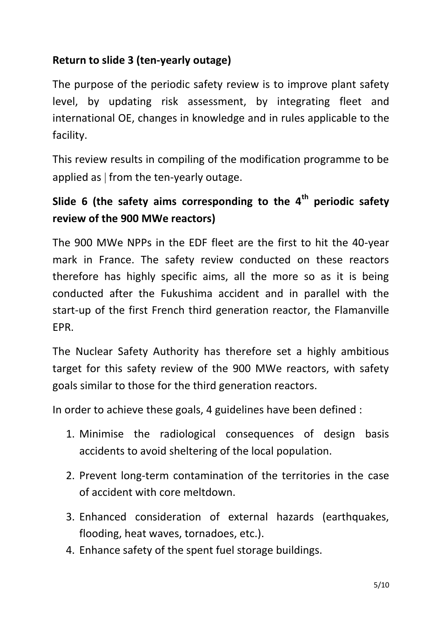### **Return to slide 3 (ten-yearly outage)**

The purpose of the periodic safety review is to improve plant safety level, by updating risk assessment, by integrating fleet and international OE, changes in knowledge and in rules applicable to the facility.

This review results in compiling of the modification programme to be applied as  $\vert$  from the ten-yearly outage.

# **Slide 6 (the safety aims corresponding to the 4th periodic safety review of the 900 MWe reactors)**

The 900 MWe NPPs in the EDF fleet are the first to hit the 40-year mark in France. The safety review conducted on these reactors therefore has highly specific aims, all the more so as it is being conducted after the Fukushima accident and in parallel with the start-up of the first French third generation reactor, the Flamanville EPR.

The Nuclear Safety Authority has therefore set a highly ambitious target for this safety review of the 900 MWe reactors, with safety goals similar to those for the third generation reactors.

In order to achieve these goals, 4 guidelines have been defined :

- 1. Minimise the radiological consequences of design basis accidents to avoid sheltering of the local population.
- 2. Prevent long-term contamination of the territories in the case of accident with core meltdown.
- 3. Enhanced consideration of external hazards (earthquakes, flooding, heat waves, tornadoes, etc.).
- 4. Enhance safety of the spent fuel storage buildings.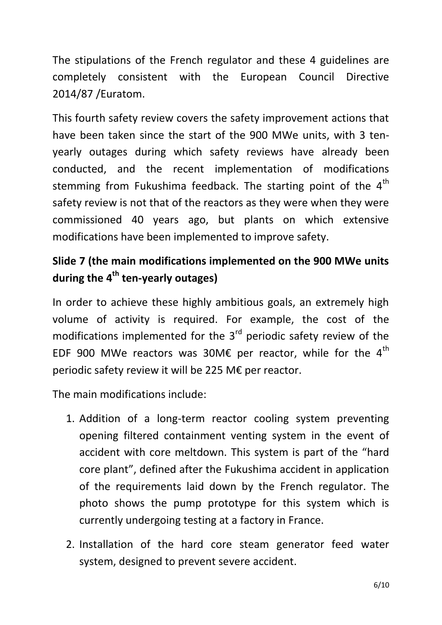The stipulations of the French regulator and these 4 guidelines are completely consistent with the European Council Directive 2014/87 /Euratom.

This fourth safety review covers the safety improvement actions that have been taken since the start of the 900 MWe units, with 3 tenyearly outages during which safety reviews have already been conducted, and the recent implementation of modifications stemming from Fukushima feedback. The starting point of the  $4<sup>th</sup>$ safety review is not that of the reactors as they were when they were commissioned 40 years ago, but plants on which extensive modifications have been implemented to improve safety.

# **Slide 7 (the main modifications implemented on the 900 MWe units during the 4th ten-yearly outages)**

In order to achieve these highly ambitious goals, an extremely high volume of activity is required. For example, the cost of the modifications implemented for the  $3<sup>rd</sup>$  periodic safety review of the EDF 900 MWe reactors was 30M€ per reactor, while for the  $4<sup>th</sup>$ periodic safety review it will be 225 M€ per reactor.

The main modifications include:

- 1. Addition of a long-term reactor cooling system preventing opening filtered containment venting system in the event of accident with core meltdown. This system is part of the "hard core plant", defined after the Fukushima accident in application of the requirements laid down by the French regulator. The photo shows the pump prototype for this system which is currently undergoing testing at a factory in France.
- 2. Installation of the hard core steam generator feed water system, designed to prevent severe accident.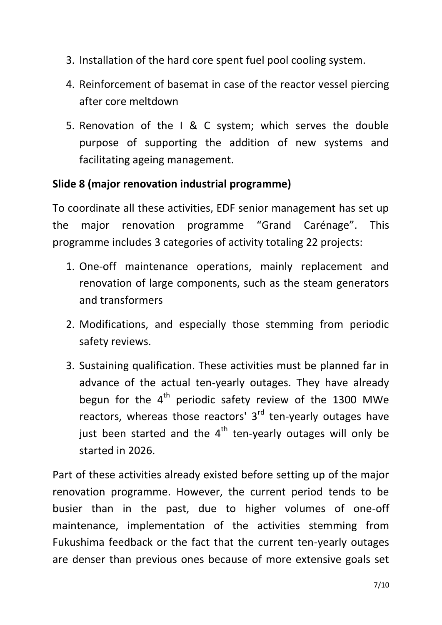- 3. Installation of the hard core spent fuel pool cooling system.
- 4. Reinforcement of basemat in case of the reactor vessel piercing after core meltdown
- 5. Renovation of the I & C system; which serves the double purpose of supporting the addition of new systems and facilitating ageing management.

#### **Slide 8 (major renovation industrial programme)**

To coordinate all these activities, EDF senior management has set up the major renovation programme "Grand Carénage". This programme includes 3 categories of activity totaling 22 projects:

- 1. One-off maintenance operations, mainly replacement and renovation of large components, such as the steam generators and transformers
- 2. Modifications, and especially those stemming from periodic safety reviews.
- 3. Sustaining qualification. These activities must be planned far in advance of the actual ten-yearly outages. They have already begun for the  $4<sup>th</sup>$  periodic safety review of the 1300 MWe reactors, whereas those reactors'  $3<sup>rd</sup>$  ten-yearly outages have just been started and the  $4<sup>th</sup>$  ten-yearly outages will only be started in 2026.

Part of these activities already existed before setting up of the major renovation programme. However, the current period tends to be busier than in the past, due to higher volumes of one-off maintenance, implementation of the activities stemming from Fukushima feedback or the fact that the current ten-yearly outages are denser than previous ones because of more extensive goals set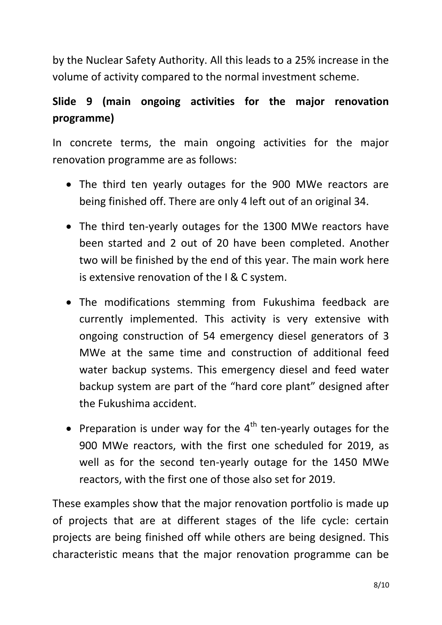by the Nuclear Safety Authority. All this leads to a 25% increase in the volume of activity compared to the normal investment scheme.

# **Slide 9 (main ongoing activities for the major renovation programme)**

In concrete terms, the main ongoing activities for the major renovation programme are as follows:

- The third ten yearly outages for the 900 MWe reactors are being finished off. There are only 4 left out of an original 34.
- The third ten-yearly outages for the 1300 MWe reactors have been started and 2 out of 20 have been completed. Another two will be finished by the end of this year. The main work here is extensive renovation of the I & C system.
- The modifications stemming from Fukushima feedback are currently implemented. This activity is very extensive with ongoing construction of 54 emergency diesel generators of 3 MWe at the same time and construction of additional feed water backup systems. This emergency diesel and feed water backup system are part of the "hard core plant" designed after the Fukushima accident.
- Preparation is under way for the  $4<sup>th</sup>$  ten-yearly outages for the 900 MWe reactors, with the first one scheduled for 2019, as well as for the second ten-yearly outage for the 1450 MWe reactors, with the first one of those also set for 2019.

These examples show that the major renovation portfolio is made up of projects that are at different stages of the life cycle: certain projects are being finished off while others are being designed. This characteristic means that the major renovation programme can be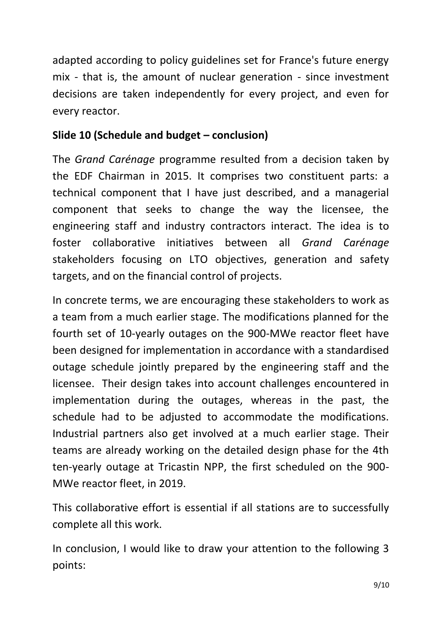adapted according to policy guidelines set for France's future energy mix - that is, the amount of nuclear generation - since investment decisions are taken independently for every project, and even for every reactor.

### **Slide 10 (Schedule and budget – conclusion)**

The *Grand Carénage* programme resulted from a decision taken by the EDF Chairman in 2015. It comprises two constituent parts: a technical component that I have just described, and a managerial component that seeks to change the way the licensee, the engineering staff and industry contractors interact. The idea is to foster collaborative initiatives between all *Grand Carénage* stakeholders focusing on LTO objectives, generation and safety targets, and on the financial control of projects.

In concrete terms, we are encouraging these stakeholders to work as a team from a much earlier stage. The modifications planned for the fourth set of 10-yearly outages on the 900-MWe reactor fleet have been designed for implementation in accordance with a standardised outage schedule jointly prepared by the engineering staff and the licensee. Their design takes into account challenges encountered in implementation during the outages, whereas in the past, the schedule had to be adjusted to accommodate the modifications. Industrial partners also get involved at a much earlier stage. Their teams are already working on the detailed design phase for the 4th ten-yearly outage at Tricastin NPP, the first scheduled on the 900- MWe reactor fleet, in 2019.

This collaborative effort is essential if all stations are to successfully complete all this work.

In conclusion, I would like to draw your attention to the following 3 points: